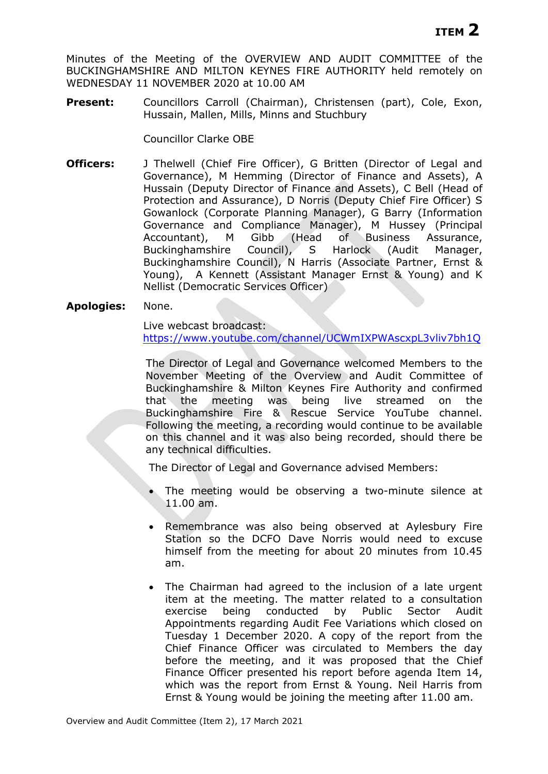Minutes of the Meeting of the OVERVIEW AND AUDIT COMMITTEE of the BUCKINGHAMSHIRE AND MILTON KEYNES FIRE AUTHORITY held remotely on WEDNESDAY 11 NOVEMBER 2020 at 10.00 AM

**Present:** Councillors Carroll (Chairman), Christensen (part), Cole, Exon, Hussain, Mallen, Mills, Minns and Stuchbury

Councillor Clarke OBE

**Officers:** J Thelwell (Chief Fire Officer), G Britten (Director of Legal and Governance), M Hemming (Director of Finance and Assets), A Hussain (Deputy Director of Finance and Assets), C Bell (Head of Protection and Assurance), D Norris (Deputy Chief Fire Officer) S Gowanlock (Corporate Planning Manager), G Barry (Information Governance and Compliance Manager), M Hussey (Principal Accountant), M Gibb (Head of Business Assurance, Buckinghamshire Council), S Harlock (Audit Manager, Buckinghamshire Council), N Harris (Associate Partner, Ernst & Young), A Kennett (Assistant Manager Ernst & Young) and K Nellist (Democratic Services Officer)

### **Apologies:** None.

Live webcast broadcast: <https://www.youtube.com/channel/UCWmIXPWAscxpL3vliv7bh1Q>

The Director of Legal and Governance welcomed Members to the November Meeting of the Overview and Audit Committee of Buckinghamshire & Milton Keynes Fire Authority and confirmed that the meeting was being live streamed on the Buckinghamshire Fire & Rescue Service YouTube channel. Following the meeting, a recording would continue to be available on this channel and it was also being recorded, should there be any technical difficulties.

The Director of Legal and Governance advised Members:

- The meeting would be observing a two-minute silence at 11.00 am.
- Remembrance was also being observed at Aylesbury Fire Station so the DCFO Dave Norris would need to excuse himself from the meeting for about 20 minutes from 10.45 am.
- The Chairman had agreed to the inclusion of a late urgent item at the meeting. The matter related to a consultation exercise being conducted by Public Sector Audit Appointments regarding Audit Fee Variations which closed on Tuesday 1 December 2020. A copy of the report from the Chief Finance Officer was circulated to Members the day before the meeting, and it was proposed that the Chief Finance Officer presented his report before agenda Item 14, which was the report from Ernst & Young. Neil Harris from Ernst & Young would be joining the meeting after 11.00 am.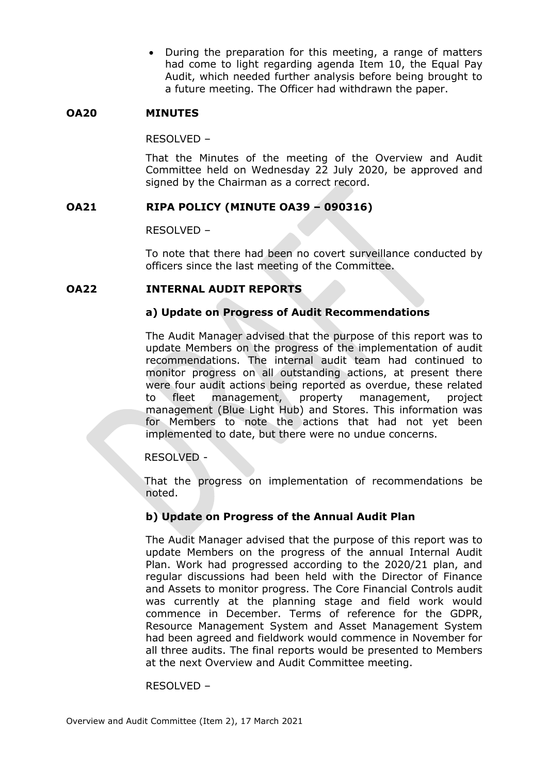• During the preparation for this meeting, a range of matters had come to light regarding agenda Item 10, the Equal Pay Audit, which needed further analysis before being brought to a future meeting. The Officer had withdrawn the paper.

# **OA20 MINUTES**

RESOLVED –

That the Minutes of the meeting of the Overview and Audit Committee held on Wednesday 22 July 2020, be approved and signed by the Chairman as a correct record.

# **OA21 RIPA POLICY (MINUTE OA39 – 090316)**

RESOLVED –

To note that there had been no covert surveillance conducted by officers since the last meeting of the Committee.

# **OA22 INTERNAL AUDIT REPORTS**

# **a) Update on Progress of Audit Recommendations**

The Audit Manager advised that the purpose of this report was to update Members on the progress of the implementation of audit recommendations. The internal audit team had continued to monitor progress on all outstanding actions, at present there were four audit actions being reported as overdue, these related to fleet management, property management, project management (Blue Light Hub) and Stores. This information was for Members to note the actions that had not yet been implemented to date, but there were no undue concerns.

# RESOLVED -

That the progress on implementation of recommendations be noted.

# **b) Update on Progress of the Annual Audit Plan**

The Audit Manager advised that the purpose of this report was to update Members on the progress of the annual Internal Audit Plan. Work had progressed according to the 2020/21 plan, and regular discussions had been held with the Director of Finance and Assets to monitor progress. The Core Financial Controls audit was currently at the planning stage and field work would commence in December. Terms of reference for the GDPR, Resource Management System and Asset Management System had been agreed and fieldwork would commence in November for all three audits. The final reports would be presented to Members at the next Overview and Audit Committee meeting.

### RESOLVED –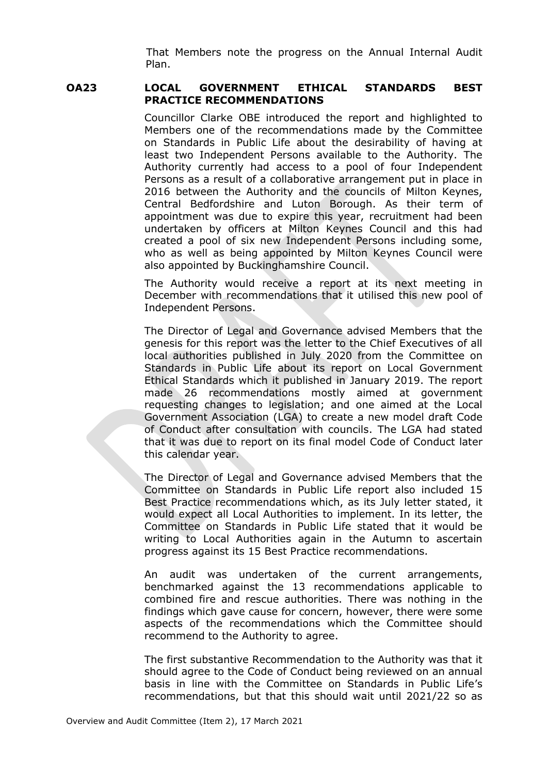That Members note the progress on the Annual Internal Audit Plan.

## **OA23 LOCAL GOVERNMENT ETHICAL STANDARDS BEST PRACTICE RECOMMENDATIONS**

Councillor Clarke OBE introduced the report and highlighted to Members one of the recommendations made by the Committee on Standards in Public Life about the desirability of having at least two Independent Persons available to the Authority. The Authority currently had access to a pool of four Independent Persons as a result of a collaborative arrangement put in place in 2016 between the Authority and the councils of Milton Keynes, Central Bedfordshire and Luton Borough. As their term of appointment was due to expire this year, recruitment had been undertaken by officers at Milton Keynes Council and this had created a pool of six new Independent Persons including some, who as well as being appointed by Milton Keynes Council were also appointed by Buckinghamshire Council.

The Authority would receive a report at its next meeting in December with recommendations that it utilised this new pool of Independent Persons.

The Director of Legal and Governance advised Members that the genesis for this report was the letter to the Chief Executives of all local authorities published in July 2020 from the Committee on Standards in Public Life about its report on Local Government Ethical Standards which it published in January 2019. The report made 26 recommendations mostly aimed at government requesting changes to legislation; and one aimed at the Local Government Association (LGA) to create a new model draft Code of Conduct after consultation with councils. The LGA had stated that it was due to report on its final model Code of Conduct later this calendar year.

The Director of Legal and Governance advised Members that the Committee on Standards in Public Life report also included 15 Best Practice recommendations which, as its July letter stated, it would expect all Local Authorities to implement. In its letter, the Committee on Standards in Public Life stated that it would be writing to Local Authorities again in the Autumn to ascertain progress against its 15 Best Practice recommendations.

An audit was undertaken of the current arrangements, benchmarked against the 13 recommendations applicable to combined fire and rescue authorities. There was nothing in the findings which gave cause for concern, however, there were some aspects of the recommendations which the Committee should recommend to the Authority to agree.

The first substantive Recommendation to the Authority was that it should agree to the Code of Conduct being reviewed on an annual basis in line with the Committee on Standards in Public Life's recommendations, but that this should wait until 2021/22 so as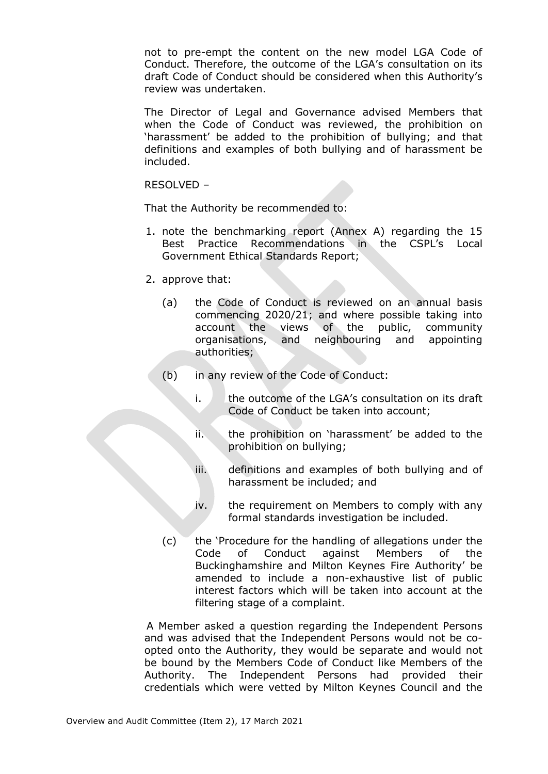not to pre-empt the content on the new model LGA Code of Conduct. Therefore, the outcome of the LGA's consultation on its draft Code of Conduct should be considered when this Authority's review was undertaken.

The Director of Legal and Governance advised Members that when the Code of Conduct was reviewed, the prohibition on 'harassment' be added to the prohibition of bullying; and that definitions and examples of both bullying and of harassment be included.

RESOLVED –

That the Authority be recommended to:

- 1. note the benchmarking report (Annex A) regarding the 15 Best Practice Recommendations in the CSPL's Local Government Ethical Standards Report;
- 2. approve that:
	- (a) the Code of Conduct is reviewed on an annual basis commencing 2020/21; and where possible taking into account the views of the public, community organisations, and neighbouring and appointing authorities;
	- (b) in any review of the Code of Conduct:
		- i. the outcome of the LGA's consultation on its draft Code of Conduct be taken into account;
		- ii. the prohibition on 'harassment' be added to the prohibition on bullying;
		- iii. definitions and examples of both bullying and of harassment be included; and
		- iv. the requirement on Members to comply with any formal standards investigation be included.
	- (c) the 'Procedure for the handling of allegations under the Code of Conduct against Members of the Buckinghamshire and Milton Keynes Fire Authority' be amended to include a non-exhaustive list of public interest factors which will be taken into account at the filtering stage of a complaint.

 A Member asked a question regarding the Independent Persons and was advised that the Independent Persons would not be coopted onto the Authority, they would be separate and would not be bound by the Members Code of Conduct like Members of the Authority. The Independent Persons had provided their credentials which were vetted by Milton Keynes Council and the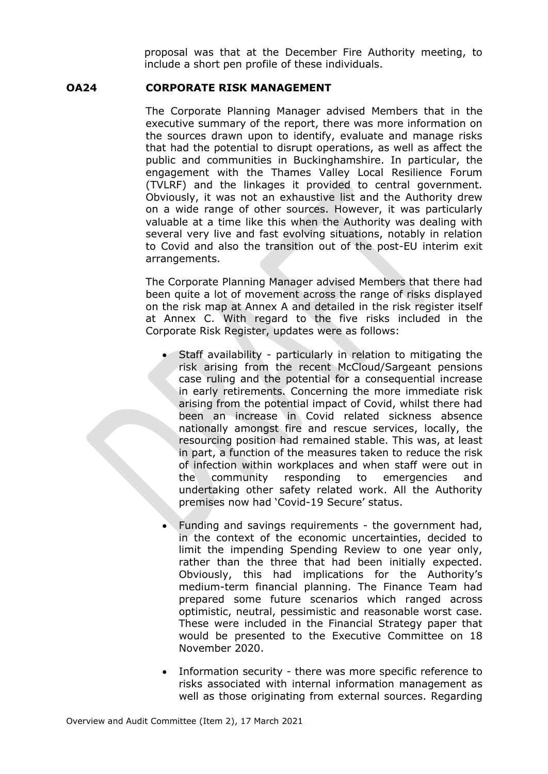proposal was that at the December Fire Authority meeting, to include a short pen profile of these individuals.

# **OA24 CORPORATE RISK MANAGEMENT**

The Corporate Planning Manager advised Members that in the executive summary of the report, there was more information on the sources drawn upon to identify, evaluate and manage risks that had the potential to disrupt operations, as well as affect the public and communities in Buckinghamshire. In particular, the engagement with the Thames Valley Local Resilience Forum (TVLRF) and the linkages it provided to central government. Obviously, it was not an exhaustive list and the Authority drew on a wide range of other sources. However, it was particularly valuable at a time like this when the Authority was dealing with several very live and fast evolving situations, notably in relation to Covid and also the transition out of the post-EU interim exit arrangements.

The Corporate Planning Manager advised Members that there had been quite a lot of movement across the range of risks displayed on the risk map at Annex A and detailed in the risk register itself at Annex C. With regard to the five risks included in the Corporate Risk Register, updates were as follows:

- Staff availability particularly in relation to mitigating the risk arising from the recent McCloud/Sargeant pensions case ruling and the potential for a consequential increase in early retirements. Concerning the more immediate risk arising from the potential impact of Covid, whilst there had been an increase in Covid related sickness absence nationally amongst fire and rescue services, locally, the resourcing position had remained stable. This was, at least in part, a function of the measures taken to reduce the risk of infection within workplaces and when staff were out in the community responding to emergencies and undertaking other safety related work. All the Authority premises now had 'Covid-19 Secure' status.
- Funding and savings requirements the government had, in the context of the economic uncertainties, decided to limit the impending Spending Review to one year only, rather than the three that had been initially expected. Obviously, this had implications for the Authority's medium-term financial planning. The Finance Team had prepared some future scenarios which ranged across optimistic, neutral, pessimistic and reasonable worst case. These were included in the Financial Strategy paper that would be presented to the Executive Committee on 18 November 2020.
- Information security there was more specific reference to risks associated with internal information management as well as those originating from external sources. Regarding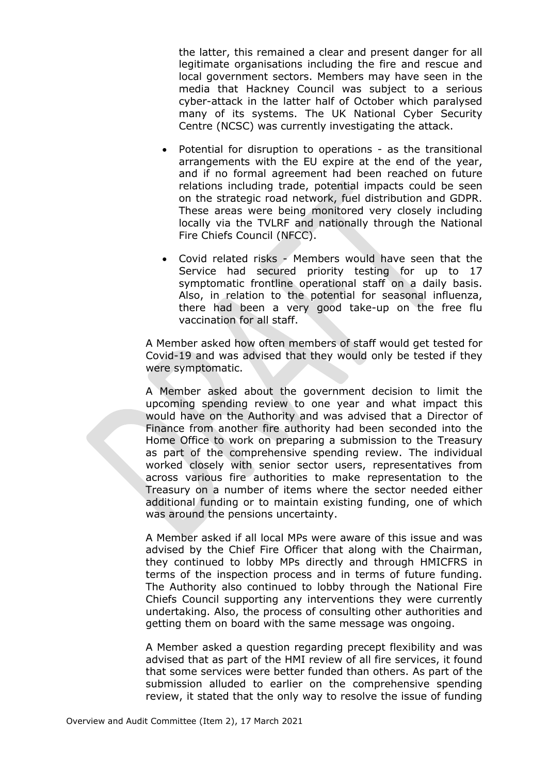the latter, this remained a clear and present danger for all legitimate organisations including the fire and rescue and local government sectors. Members may have seen in the media that Hackney Council was subject to a serious cyber-attack in the latter half of October which paralysed many of its systems. The UK National Cyber Security Centre (NCSC) was currently investigating the attack.

- Potential for disruption to operations as the transitional arrangements with the EU expire at the end of the year, and if no formal agreement had been reached on future relations including trade, potential impacts could be seen on the strategic road network, fuel distribution and GDPR. These areas were being monitored very closely including locally via the TVLRF and nationally through the National Fire Chiefs Council (NFCC).
- Covid related risks Members would have seen that the Service had secured priority testing for up to 17 symptomatic frontline operational staff on a daily basis. Also, in relation to the potential for seasonal influenza, there had been a very good take-up on the free flu vaccination for all staff.

A Member asked how often members of staff would get tested for Covid-19 and was advised that they would only be tested if they were symptomatic.

A Member asked about the government decision to limit the upcoming spending review to one year and what impact this would have on the Authority and was advised that a Director of Finance from another fire authority had been seconded into the Home Office to work on preparing a submission to the Treasury as part of the comprehensive spending review. The individual worked closely with senior sector users, representatives from across various fire authorities to make representation to the Treasury on a number of items where the sector needed either additional funding or to maintain existing funding, one of which was around the pensions uncertainty.

A Member asked if all local MPs were aware of this issue and was advised by the Chief Fire Officer that along with the Chairman, they continued to lobby MPs directly and through HMICFRS in terms of the inspection process and in terms of future funding. The Authority also continued to lobby through the National Fire Chiefs Council supporting any interventions they were currently undertaking. Also, the process of consulting other authorities and getting them on board with the same message was ongoing.

A Member asked a question regarding precept flexibility and was advised that as part of the HMI review of all fire services, it found that some services were better funded than others. As part of the submission alluded to earlier on the comprehensive spending review, it stated that the only way to resolve the issue of funding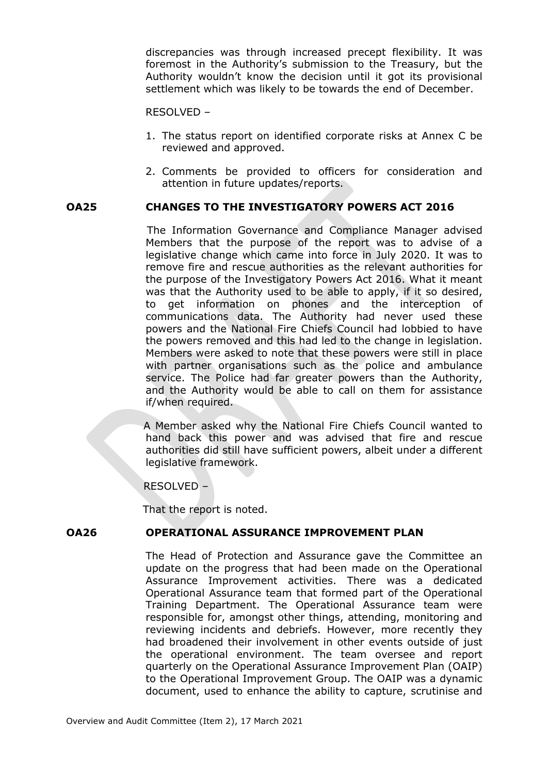discrepancies was through increased precept flexibility. It was foremost in the Authority's submission to the Treasury, but the Authority wouldn't know the decision until it got its provisional settlement which was likely to be towards the end of December.

### RESOLVED –

- 1. The status report on identified corporate risks at Annex C be reviewed and approved.
- 2. Comments be provided to officers for consideration and attention in future updates/reports.

# **OA25 CHANGES TO THE INVESTIGATORY POWERS ACT 2016**

The Information Governance and Compliance Manager advised Members that the purpose of the report was to advise of a legislative change which came into force in July 2020. It was to remove fire and rescue authorities as the relevant authorities for the purpose of the Investigatory Powers Act 2016. What it meant was that the Authority used to be able to apply, if it so desired, to get information on phones and the interception of communications data. The Authority had never used these powers and the National Fire Chiefs Council had lobbied to have the powers removed and this had led to the change in legislation. Members were asked to note that these powers were still in place with partner organisations such as the police and ambulance service. The Police had far greater powers than the Authority, and the Authority would be able to call on them for assistance if/when required.

A Member asked why the National Fire Chiefs Council wanted to hand back this power and was advised that fire and rescue authorities did still have sufficient powers, albeit under a different legislative framework.

RESOLVED –

That the report is noted.

# **OA26 OPERATIONAL ASSURANCE IMPROVEMENT PLAN**

The Head of Protection and Assurance gave the Committee an update on the progress that had been made on the Operational Assurance Improvement activities. There was a dedicated Operational Assurance team that formed part of the Operational Training Department. The Operational Assurance team were responsible for, amongst other things, attending, monitoring and reviewing incidents and debriefs. However, more recently they had broadened their involvement in other events outside of just the operational environment. The team oversee and report quarterly on the Operational Assurance Improvement Plan (OAIP) to the Operational Improvement Group. The OAIP was a dynamic document, used to enhance the ability to capture, scrutinise and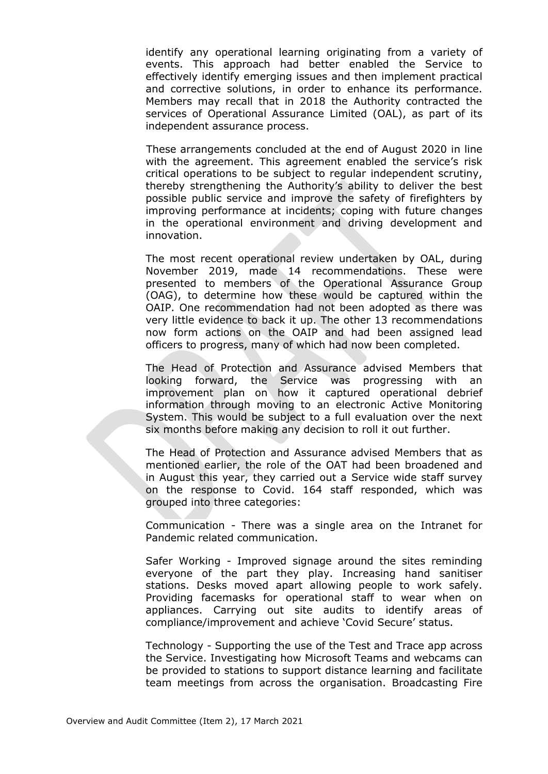identify any operational learning originating from a variety of events. This approach had better enabled the Service to effectively identify emerging issues and then implement practical and corrective solutions, in order to enhance its performance. Members may recall that in 2018 the Authority contracted the services of Operational Assurance Limited (OAL), as part of its independent assurance process.

These arrangements concluded at the end of August 2020 in line with the agreement. This agreement enabled the service's risk critical operations to be subject to regular independent scrutiny, thereby strengthening the Authority's ability to deliver the best possible public service and improve the safety of firefighters by improving performance at incidents; coping with future changes in the operational environment and driving development and innovation.

The most recent operational review undertaken by OAL, during November 2019, made 14 recommendations. These were presented to members of the Operational Assurance Group (OAG), to determine how these would be captured within the OAIP. One recommendation had not been adopted as there was very little evidence to back it up. The other 13 recommendations now form actions on the OAIP and had been assigned lead officers to progress, many of which had now been completed.

The Head of Protection and Assurance advised Members that looking forward, the Service was progressing with an improvement plan on how it captured operational debrief information through moving to an electronic Active Monitoring System. This would be subject to a full evaluation over the next six months before making any decision to roll it out further.

The Head of Protection and Assurance advised Members that as mentioned earlier, the role of the OAT had been broadened and in August this year, they carried out a Service wide staff survey on the response to Covid. 164 staff responded, which was grouped into three categories:

Communication - There was a single area on the Intranet for Pandemic related communication.

Safer Working - Improved signage around the sites reminding everyone of the part they play. Increasing hand sanitiser stations. Desks moved apart allowing people to work safely. Providing facemasks for operational staff to wear when on appliances. Carrying out site audits to identify areas of compliance/improvement and achieve 'Covid Secure' status.

Technology - Supporting the use of the Test and Trace app across the Service. Investigating how Microsoft Teams and webcams can be provided to stations to support distance learning and facilitate team meetings from across the organisation. Broadcasting Fire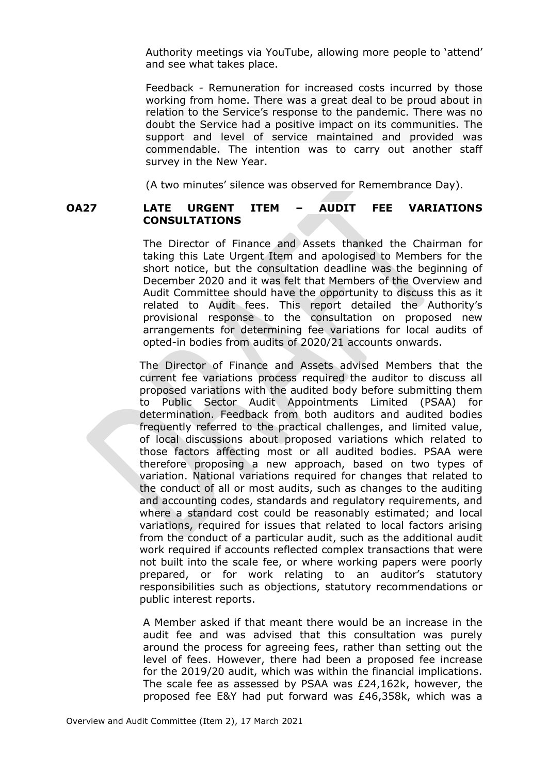Authority meetings via YouTube, allowing more people to 'attend' and see what takes place.

Feedback - Remuneration for increased costs incurred by those working from home. There was a great deal to be proud about in relation to the Service's response to the pandemic. There was no doubt the Service had a positive impact on its communities. The support and level of service maintained and provided was commendable. The intention was to carry out another staff survey in the New Year.

(A two minutes' silence was observed for Remembrance Day).

# **OA27 LATE URGENT ITEM – AUDIT FEE VARIATIONS CONSULTATIONS**

The Director of Finance and Assets thanked the Chairman for taking this Late Urgent Item and apologised to Members for the short notice, but the consultation deadline was the beginning of December 2020 and it was felt that Members of the Overview and Audit Committee should have the opportunity to discuss this as it related to Audit fees. This report detailed the Authority's provisional response to the consultation on proposed new arrangements for determining fee variations for local audits of opted-in bodies from audits of 2020/21 accounts onwards.

The Director of Finance and Assets advised Members that the current fee variations process required the auditor to discuss all proposed variations with the audited body before submitting them to Public Sector Audit Appointments Limited (PSAA) for determination. Feedback from both auditors and audited bodies frequently referred to the practical challenges, and limited value, of local discussions about proposed variations which related to those factors affecting most or all audited bodies. PSAA were therefore proposing a new approach, based on two types of variation. National variations required for changes that related to the conduct of all or most audits, such as changes to the auditing and accounting codes, standards and regulatory requirements, and where a standard cost could be reasonably estimated; and local variations, required for issues that related to local factors arising from the conduct of a particular audit, such as the additional audit work required if accounts reflected complex transactions that were not built into the scale fee, or where working papers were poorly prepared, or for work relating to an auditor's statutory responsibilities such as objections, statutory recommendations or public interest reports.

A Member asked if that meant there would be an increase in the audit fee and was advised that this consultation was purely around the process for agreeing fees, rather than setting out the level of fees. However, there had been a proposed fee increase for the 2019/20 audit, which was within the financial implications. The scale fee as assessed by PSAA was £24,162k, however, the proposed fee E&Y had put forward was £46,358k, which was a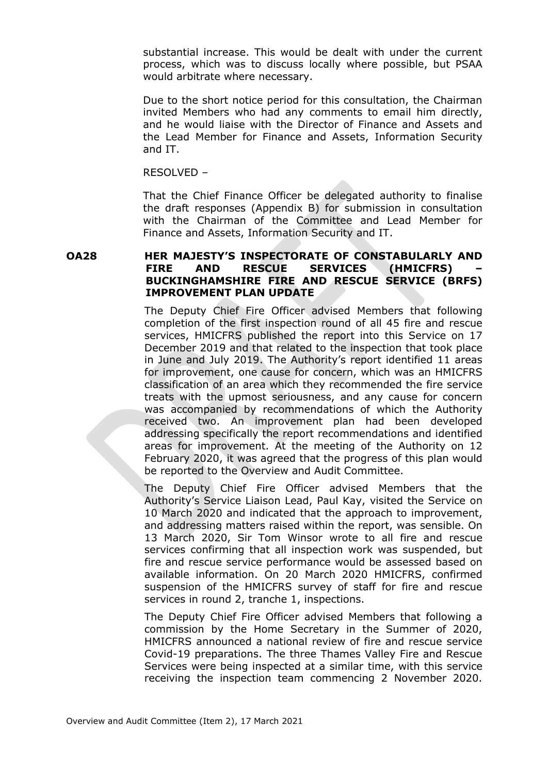substantial increase. This would be dealt with under the current process, which was to discuss locally where possible, but PSAA would arbitrate where necessary.

Due to the short notice period for this consultation, the Chairman invited Members who had any comments to email him directly, and he would liaise with the Director of Finance and Assets and the Lead Member for Finance and Assets, Information Security and IT.

RESOLVED –

That the Chief Finance Officer be delegated authority to finalise the draft responses (Appendix B) for submission in consultation with the Chairman of the Committee and Lead Member for Finance and Assets, Information Security and IT.

**OA28 HER MAJESTY'S INSPECTORATE OF CONSTABULARLY AND FIRE AND RESCUE SERVICES (HMICFRS) – BUCKINGHAMSHIRE FIRE AND RESCUE SERVICE (BRFS) IMPROVEMENT PLAN UPDATE**

> The Deputy Chief Fire Officer advised Members that following completion of the first inspection round of all 45 fire and rescue services, HMICFRS published the report into this Service on 17 December 2019 and that related to the inspection that took place in June and July 2019. The Authority's report identified 11 areas for improvement, one cause for concern, which was an HMICFRS classification of an area which they recommended the fire service treats with the upmost seriousness, and any cause for concern was accompanied by recommendations of which the Authority received two. An improvement plan had been developed addressing specifically the report recommendations and identified areas for improvement. At the meeting of the Authority on 12 February 2020, it was agreed that the progress of this plan would be reported to the Overview and Audit Committee.

> The Deputy Chief Fire Officer advised Members that the Authority's Service Liaison Lead, Paul Kay, visited the Service on 10 March 2020 and indicated that the approach to improvement, and addressing matters raised within the report, was sensible. On 13 March 2020, Sir Tom Winsor wrote to all fire and rescue services confirming that all inspection work was suspended, but fire and rescue service performance would be assessed based on available information. On 20 March 2020 HMICFRS, confirmed suspension of the HMICFRS survey of staff for fire and rescue services in round 2, tranche 1, inspections.

> The Deputy Chief Fire Officer advised Members that following a commission by the Home Secretary in the Summer of 2020, HMICFRS announced a national review of fire and rescue service Covid-19 preparations. The three Thames Valley Fire and Rescue Services were being inspected at a similar time, with this service receiving the inspection team commencing 2 November 2020.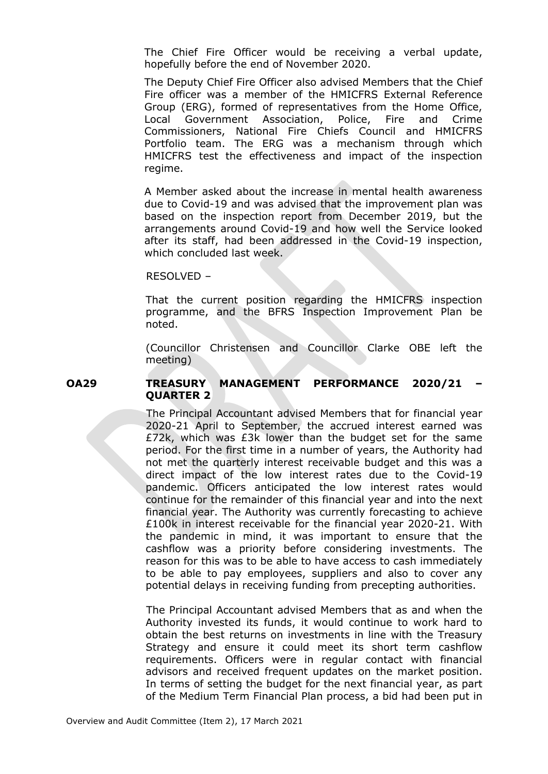The Chief Fire Officer would be receiving a verbal update, hopefully before the end of November 2020.

The Deputy Chief Fire Officer also advised Members that the Chief Fire officer was a member of the HMICFRS External Reference Group (ERG), formed of representatives from the Home Office, Local Government Association, Police, Fire and Crime Commissioners, National Fire Chiefs Council and HMICFRS Portfolio team. The ERG was a mechanism through which HMICFRS test the effectiveness and impact of the inspection regime.

A Member asked about the increase in mental health awareness due to Covid-19 and was advised that the improvement plan was based on the inspection report from December 2019, but the arrangements around Covid-19 and how well the Service looked after its staff, had been addressed in the Covid-19 inspection, which concluded last week.

#### RESOLVED –

That the current position regarding the HMICFRS inspection programme, and the BFRS Inspection Improvement Plan be noted.

(Councillor Christensen and Councillor Clarke OBE left the meeting)

### **OA29 TREASURY MANAGEMENT PERFORMANCE 2020/21 – QUARTER 2**

The Principal Accountant advised Members that for financial year 2020-21 April to September, the accrued interest earned was £72k, which was £3k lower than the budget set for the same period. For the first time in a number of years, the Authority had not met the quarterly interest receivable budget and this was a direct impact of the low interest rates due to the Covid-19 pandemic. Officers anticipated the low interest rates would continue for the remainder of this financial year and into the next financial year. The Authority was currently forecasting to achieve £100k in interest receivable for the financial year 2020-21. With the pandemic in mind, it was important to ensure that the cashflow was a priority before considering investments. The reason for this was to be able to have access to cash immediately to be able to pay employees, suppliers and also to cover any potential delays in receiving funding from precepting authorities.

The Principal Accountant advised Members that as and when the Authority invested its funds, it would continue to work hard to obtain the best returns on investments in line with the Treasury Strategy and ensure it could meet its short term cashflow requirements. Officers were in regular contact with financial advisors and received frequent updates on the market position. In terms of setting the budget for the next financial year, as part of the Medium Term Financial Plan process, a bid had been put in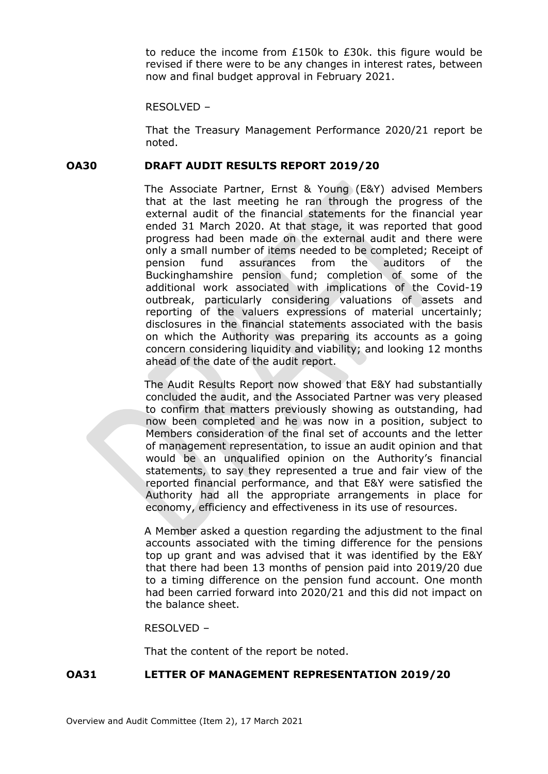to reduce the income from £150k to £30k. this figure would be revised if there were to be any changes in interest rates, between now and final budget approval in February 2021.

RESOLVED –

That the Treasury Management Performance 2020/21 report be noted.

### **OA30 DRAFT AUDIT RESULTS REPORT 2019/20**

The Associate Partner, Ernst & Young (E&Y) advised Members that at the last meeting he ran through the progress of the external audit of the financial statements for the financial year ended 31 March 2020. At that stage, it was reported that good progress had been made on the external audit and there were only a small number of items needed to be completed; Receipt of pension fund assurances from the auditors of the Buckinghamshire pension fund; completion of some of the additional work associated with implications of the Covid-19 outbreak, particularly considering valuations of assets and reporting of the valuers expressions of material uncertainly; disclosures in the financial statements associated with the basis on which the Authority was preparing its accounts as a going concern considering liquidity and viability; and looking 12 months ahead of the date of the audit report.

The Audit Results Report now showed that E&Y had substantially concluded the audit, and the Associated Partner was very pleased to confirm that matters previously showing as outstanding, had now been completed and he was now in a position, subject to Members consideration of the final set of accounts and the letter of management representation, to issue an audit opinion and that would be an unqualified opinion on the Authority's financial statements, to say they represented a true and fair view of the reported financial performance, and that E&Y were satisfied the Authority had all the appropriate arrangements in place for economy, efficiency and effectiveness in its use of resources.

A Member asked a question regarding the adjustment to the final accounts associated with the timing difference for the pensions top up grant and was advised that it was identified by the E&Y that there had been 13 months of pension paid into 2019/20 due to a timing difference on the pension fund account. One month had been carried forward into 2020/21 and this did not impact on the balance sheet.

RESOLVED –

That the content of the report be noted.

# **OA31 LETTER OF MANAGEMENT REPRESENTATION 2019/20**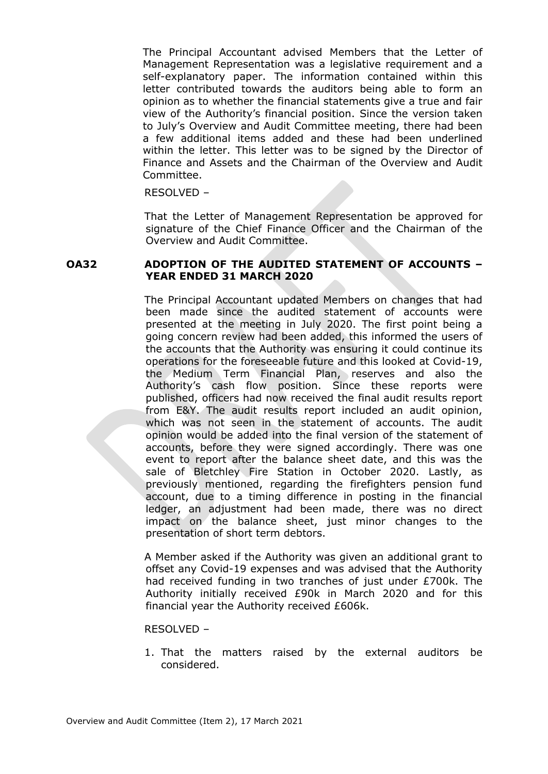The Principal Accountant advised Members that the Letter of Management Representation was a legislative requirement and a self-explanatory paper. The information contained within this letter contributed towards the auditors being able to form an opinion as to whether the financial statements give a true and fair view of the Authority's financial position. Since the version taken to July's Overview and Audit Committee meeting, there had been a few additional items added and these had been underlined within the letter. This letter was to be signed by the Director of Finance and Assets and the Chairman of the Overview and Audit Committee.

#### RESOLVED –

That the Letter of Management Representation be approved for signature of the Chief Finance Officer and the Chairman of the Overview and Audit Committee.

### **OA32 ADOPTION OF THE AUDITED STATEMENT OF ACCOUNTS – YEAR ENDED 31 MARCH 2020**

The Principal Accountant updated Members on changes that had been made since the audited statement of accounts were presented at the meeting in July 2020. The first point being a going concern review had been added, this informed the users of the accounts that the Authority was ensuring it could continue its operations for the foreseeable future and this looked at Covid-19, the Medium Term Financial Plan, reserves and also the Authority's cash flow position. Since these reports were published, officers had now received the final audit results report from E&Y. The audit results report included an audit opinion, which was not seen in the statement of accounts. The audit opinion would be added into the final version of the statement of accounts, before they were signed accordingly. There was one event to report after the balance sheet date, and this was the sale of Bletchley Fire Station in October 2020. Lastly, as previously mentioned, regarding the firefighters pension fund account, due to a timing difference in posting in the financial ledger, an adjustment had been made, there was no direct impact on the balance sheet, just minor changes to the presentation of short term debtors.

A Member asked if the Authority was given an additional grant to offset any Covid-19 expenses and was advised that the Authority had received funding in two tranches of just under £700k. The Authority initially received £90k in March 2020 and for this financial year the Authority received £606k.

#### RESOLVED –

1. That the matters raised by the external auditors be considered.